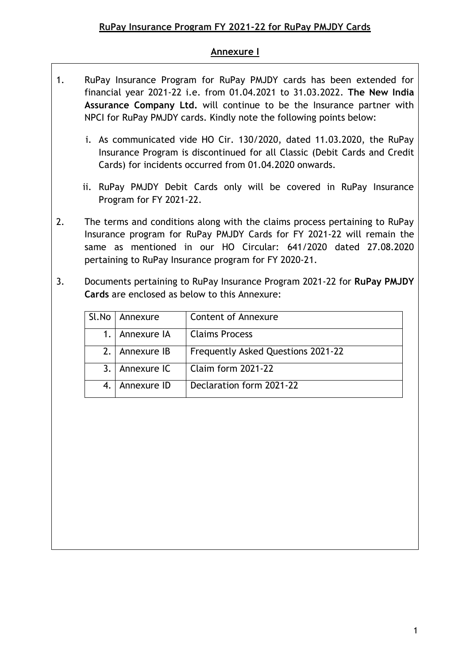## **Annexure I**

- 1. RuPay Insurance Program for RuPay PMJDY cards has been extended for financial year 2021-22 i.e. from 01.04.2021 to 31.03.2022. **The New India Assurance Company Ltd.** will continue to be the Insurance partner with NPCI for RuPay PMJDY cards. Kindly note the following points below:
	- i. As communicated vide HO Cir. 130/2020, dated 11.03.2020, the RuPay Insurance Program is discontinued for all Classic (Debit Cards and Credit Cards) for incidents occurred from 01.04.2020 onwards.
	- ii. RuPay PMJDY Debit Cards only will be covered in RuPay Insurance Program for FY 2021-22.
- 2. The terms and conditions along with the claims process pertaining to RuPay Insurance program for RuPay PMJDY Cards for FY 2021-22 will remain the same as mentioned in our HO Circular: 641/2020 dated 27.08.2020 pertaining to RuPay Insurance program for FY 2020-21.
- 3. Documents pertaining to RuPay Insurance Program 2021-22 for **RuPay PMJDY Cards** are enclosed as below to this Annexure:

| Sl.No | Annexure    | <b>Content of Annexure</b>         |
|-------|-------------|------------------------------------|
|       | Annexure IA | <b>Claims Process</b>              |
| 2.1   | Annexure IB | Frequently Asked Questions 2021-22 |
| 3.    | Annexure IC | <b>Claim form 2021-22</b>          |
|       | Annexure ID | Declaration form 2021-22           |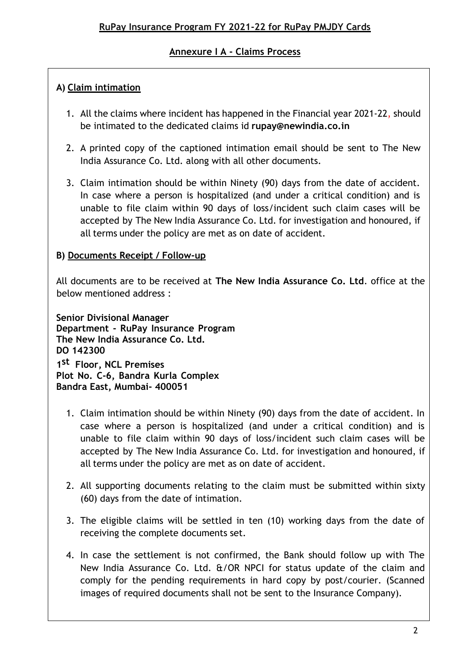# **Annexure I A - Claims Process**

# **A) Claim intimation**

- 1. All the claims where incident has happened in the Financial year 2021-22, should be intimated to the dedicated claims id **[rupay@newindia.co.in](mailto:rupay@newindia.co.in)**
- 2. A printed copy of the captioned intimation email should be sent to The New India Assurance Co. Ltd. along with all other documents.
- 3. Claim intimation should be within Ninety (90) days from the date of accident. In case where a person is hospitalized (and under a critical condition) and is unable to file claim within 90 days of loss/incident such claim cases will be accepted by The New India Assurance Co. Ltd. for investigation and honoured, if all terms under the policy are met as on date of accident.

# **B) Documents Receipt / Follow-up**

All documents are to be received at **The New India Assurance Co. Ltd**. office at the below mentioned address :

**Senior Divisional Manager Department - RuPay Insurance Program The New India Assurance Co. Ltd. DO 142300 1 st Floor, NCL Premises Plot No. C-6, Bandra Kurla Complex Bandra East, Mumbai- 400051**

- 1. Claim intimation should be within Ninety (90) days from the date of accident. In case where a person is hospitalized (and under a critical condition) and is unable to file claim within 90 days of loss/incident such claim cases will be accepted by The New India Assurance Co. Ltd. for investigation and honoured, if all terms under the policy are met as on date of accident.
- 2. All supporting documents relating to the claim must be submitted within sixty (60) days from the date of intimation.
- 3. The eligible claims will be settled in ten (10) working days from the date of receiving the complete documents set.
- 4. In case the settlement is not confirmed, the Bank should follow up with The New India Assurance Co. Ltd.  $\frac{d}{dx}$  COR NPCI for status update of the claim and comply for the pending requirements in hard copy by post/courier. (Scanned images of required documents shall not be sent to the Insurance Company).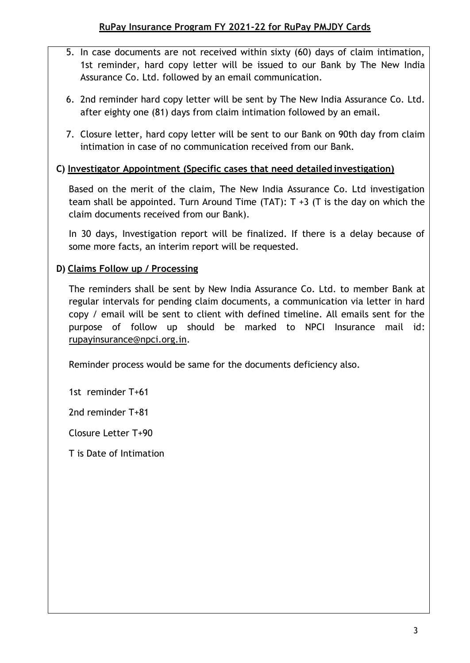- 5. In case documents are not received within sixty (60) days of claim intimation, 1st reminder, hard copy letter will be issued to our Bank by The New India Assurance Co. Ltd. followed by an email communication.
- 6. 2nd reminder hard copy letter will be sent by The New India Assurance Co. Ltd. after eighty one (81) days from claim intimation followed by an email.
- 7. Closure letter, hard copy letter will be sent to our Bank on 90th day from claim intimation in case of no communication received from our Bank.

# **C) Investigator Appointment (Specific cases that need detailed investigation)**

Based on the merit of the claim, The New India Assurance Co. Ltd investigation team shall be appointed. Turn Around Time  $(TAT)$ : T +3 (T is the day on which the claim documents received from our Bank).

In 30 days, Investigation report will be finalized. If there is a delay because of some more facts, an interim report will be requested.

# **D) Claims Follow up / Processing**

The reminders shall be sent by New India Assurance Co. Ltd. to member Bank at regular intervals for pending claim documents, a communication via letter in hard copy / email will be sent to client with defined timeline. All emails sent for the purpose of follow up should be marked to NPCI Insurance mail id: [rupayinsurance@npci.org.in.](mailto:rupayinsurance@npci.org.in)

Reminder process would be same for the documents deficiency also.

1st reminder T+61

2nd reminder T+81

Closure Letter T+90

T is Date of Intimation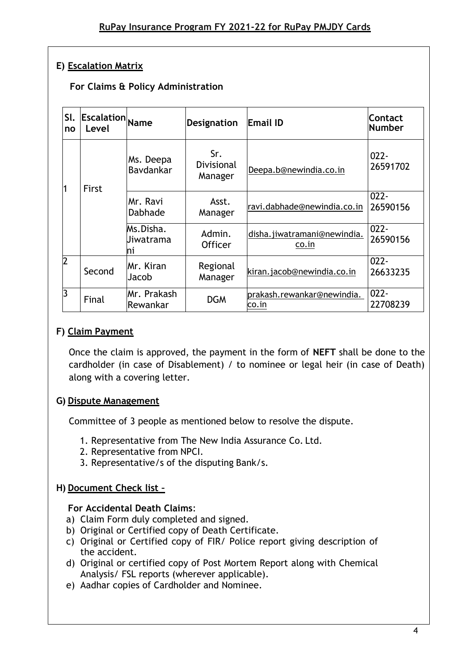# **E) Escalation Matrix**

# **For Claims & Policy Administration**

| SI.<br>no      | <b>Escalation</b> Name<br>Level |                               | <b>Designation</b>           | <b>Email ID</b>                      | Contact<br><b>Number</b> |
|----------------|---------------------------------|-------------------------------|------------------------------|--------------------------------------|--------------------------|
|                | First                           | Ms. Deepa<br>Bavdankar        | Sr.<br>Divisional<br>Manager | Deepa.b@newindia.co.in               | $022 -$<br>26591702      |
|                |                                 | Mr. Ravi<br>Dabhade           | Asst.<br>Manager             | ravi.dabhade@newindia.co.in          | $022 -$<br>26590156      |
|                |                                 | Ms.Disha.<br>Jiwatrama<br>Ini | Admin.<br><b>Officer</b>     | disha.jiwatramani@newindia.<br>co.in | $022 -$<br>26590156      |
| $\overline{2}$ | Second                          | Mr. Kiran<br>Jacob            | Regional<br>Manager          | kiran.jacob@newindia.co.in           | $022 -$<br>26633235      |
| ß              | Final                           | Mr. Prakash<br>Rewankar       | <b>DGM</b>                   | prakash.rewankar@newindia.<br>co.in  | $022 -$<br>22708239      |

## **F) Claim Payment**

Once the claim is approved, the payment in the form of **NEFT** shall be done to the cardholder (in case of Disablement) / to nominee or legal heir (in case of Death) along with a covering letter.

### **G) Dispute Management**

Committee of 3 people as mentioned below to resolve the dispute.

- 1. Representative from The New India Assurance Co. Ltd.
- 2. Representative from NPCI.
- 3. Representative/s of the disputing Bank/s.

### **H) Document Check list –**

### **For Accidental Death Claims**:

- a) Claim Form duly completed and signed.
- b) Original or Certified copy of Death Certificate.
- c) Original or Certified copy of FIR/ Police report giving description of the accident.
- d) Original or certified copy of Post Mortem Report along with Chemical Analysis/ FSL reports (wherever applicable).
- e) Aadhar copies of Cardholder and Nominee.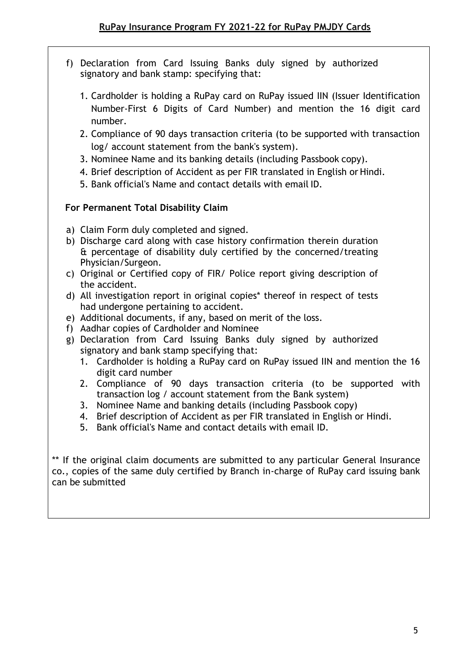- f) Declaration from Card Issuing Banks duly signed by authorized signatory and bank stamp: specifying that:
	- 1. Cardholder is holding a RuPay card on RuPay issued IIN (Issuer Identification Number-First 6 Digits of Card Number) and mention the 16 digit card number.
	- 2. Compliance of 90 days transaction criteria (to be supported with transaction log/ account statement from the bank's system).
	- 3. Nominee Name and its banking details (including Passbook copy).
	- 4. Brief description of Accident as per FIR translated in English or Hindi.
	- 5. Bank official's Name and contact details with email ID.

## **For Permanent Total Disability Claim**

- a) Claim Form duly completed and signed.
- b) Discharge card along with case history confirmation therein duration & percentage of disability duly certified by the concerned/treating Physician/Surgeon.
- c) Original or Certified copy of FIR/ Police report giving description of the accident.
- d) All investigation report in original copies\* thereof in respect of tests had undergone pertaining to accident.
- e) Additional documents, if any, based on merit of the loss.
- f) Aadhar copies of Cardholder and Nominee
- g) Declaration from Card Issuing Banks duly signed by authorized signatory and bank stamp specifying that:
	- 1. Cardholder is holding a RuPay card on RuPay issued IIN and mention the 16 digit card number
	- 2. Compliance of 90 days transaction criteria (to be supported with transaction log / account statement from the Bank system)
	- 3. Nominee Name and banking details (including Passbook copy)
	- 4. Brief description of Accident as per FIR translated in English or Hindi.
	- 5. Bank official's Name and contact details with email ID.

\*\* If the original claim documents are submitted to any particular General Insurance co., copies of the same duly certified by Branch in-charge of RuPay card issuing bank can be submitted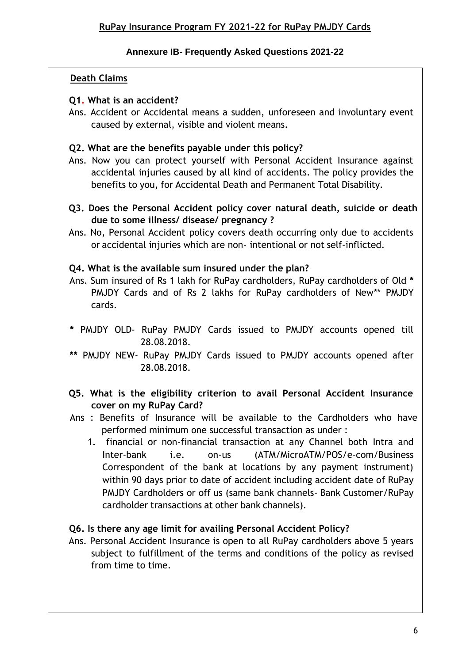### **Annexure IB- Frequently Asked Questions 2021-22**

# **Death Claims**

### **Q1. What is an accident?**

Ans. Accident or Accidental means a sudden, unforeseen and involuntary event caused by external, visible and violent means.

## **Q2. What are the benefits payable under this policy?**

- Ans. Now you can protect yourself with Personal Accident Insurance against accidental injuries caused by all kind of accidents. The policy provides the benefits to you, for Accidental Death and Permanent Total Disability.
- **Q3. Does the Personal Accident policy cover natural death, suicide or death due to some illness/ disease/ pregnancy ?**
- Ans. No, Personal Accident policy covers death occurring only due to accidents or accidental injuries which are non- intentional or not self-inflicted.

## **Q4. What is the available sum insured under the plan?**

- Ans. Sum insured of Rs 1 lakh for RuPay cardholders, RuPay cardholders of Old **\*** PMJDY Cards and of Rs 2 lakhs for RuPay cardholders of New\*\* PMJDY cards.
- **\*** PMJDY OLD- RuPay PMJDY Cards issued to PMJDY accounts opened till 28.08.2018.
- **\*\*** PMJDY NEW- RuPay PMJDY Cards issued to PMJDY accounts opened after 28.08.2018.

## **Q5. What is the eligibility criterion to avail Personal Accident Insurance cover on my RuPay Card?**

- Ans : Benefits of Insurance will be available to the Cardholders who have performed minimum one successful transaction as under :
	- 1. financial or non-financial transaction at any Channel both Intra and Inter-bank i.e. on-us (ATM/MicroATM/POS/e-com/Business Correspondent of the bank at locations by any payment instrument) within 90 days prior to date of accident including accident date of RuPay PMJDY Cardholders or off us (same bank channels- Bank Customer/RuPay cardholder transactions at other bank channels).

# **Q6. Is there any age limit for availing Personal Accident Policy?**

Ans. Personal Accident Insurance is open to all RuPay cardholders above 5 years subject to fulfillment of the terms and conditions of the policy as revised from time to time.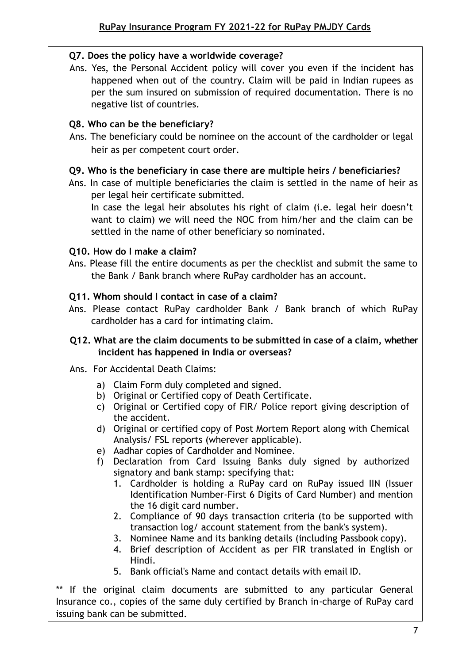## **Q7. Does the policy have a worldwide coverage?**

Ans. Yes, the Personal Accident policy will cover you even if the incident has happened when out of the country. Claim will be paid in Indian rupees as per the sum insured on submission of required documentation. There is no negative list of countries.

## **Q8. Who can be the beneficiary?**

Ans. The beneficiary could be nominee on the account of the cardholder or legal heir as per competent court order.

## **Q9. Who is the beneficiary in case there are multiple heirs / beneficiaries?**

Ans. In case of multiple beneficiaries the claim is settled in the name of heir as per legal heir certificate submitted.

In case the legal heir absolutes his right of claim (i.e. legal heir doesn't want to claim) we will need the NOC from him/her and the claim can be settled in the name of other beneficiary so nominated.

## **Q10. How do I make a claim?**

Ans. Please fill the entire documents as per the checklist and submit the same to the Bank / Bank branch where RuPay cardholder has an account.

## **Q11. Whom should I contact in case of a claim?**

Ans. Please contact RuPay cardholder Bank / Bank branch of which RuPay cardholder has a card for intimating claim.

## **Q12. What are the claim documents to be submitted in case of a claim, whether incident has happened in India or overseas?**

# Ans. For Accidental Death Claims:

- a) Claim Form duly completed and signed.
- b) Original or Certified copy of Death Certificate.
- c) Original or Certified copy of FIR/ Police report giving description of the accident.
- d) Original or certified copy of Post Mortem Report along with Chemical Analysis/ FSL reports (wherever applicable).
- e) Aadhar copies of Cardholder and Nominee.
- f) Declaration from Card Issuing Banks duly signed by authorized signatory and bank stamp: specifying that:
	- 1. Cardholder is holding a RuPay card on RuPay issued IIN (Issuer Identification Number-First 6 Digits of Card Number) and mention the 16 digit card number.
	- 2. Compliance of 90 days transaction criteria (to be supported with transaction log/ account statement from the bank's system).
	- 3. Nominee Name and its banking details (including Passbook copy).
	- 4. Brief description of Accident as per FIR translated in English or Hindi.
	- 5. Bank official's Name and contact details with email ID.

\*\* If the original claim documents are submitted to any particular General Insurance co., copies of the same duly certified by Branch in-charge of RuPay card issuing bank can be submitted.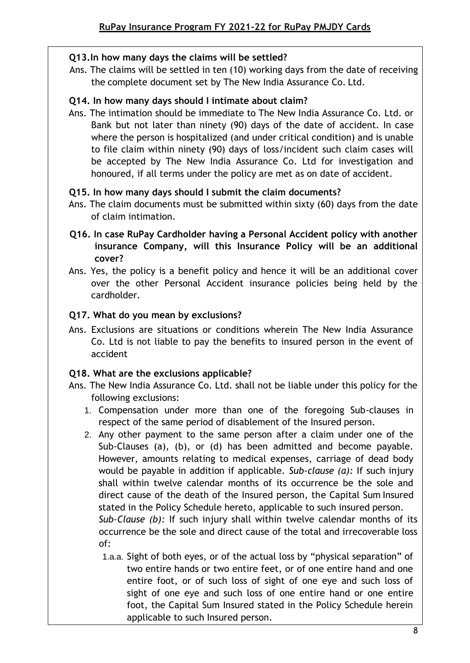## **Q13.In how many days the claims will be settled?**

Ans. The claims will be settled in ten (10) working days from the date of receiving the complete document set by The New India Assurance Co. Ltd.

### **Q14. In how many days should I intimate about claim?**

Ans. The intimation should be immediate to The New India Assurance Co. Ltd. or Bank but not later than ninety (90) days of the date of accident. In case where the person is hospitalized (and under critical condition) and is unable to file claim within ninety (90) days of loss/incident such claim cases will be accepted by The New India Assurance Co. Ltd for investigation and honoured, if all terms under the policy are met as on date of accident.

## **Q15. In how many days should I submit the claim documents?**

- Ans. The claim documents must be submitted within sixty (60) days from the date of claim intimation.
- **Q16. In case RuPay Cardholder having a Personal Accident policy with another insurance Company, will this Insurance Policy will be an additional cover?**
- Ans. Yes, the policy is a benefit policy and hence it will be an additional cover over the other Personal Accident insurance policies being held by the cardholder.

## **Q17. What do you mean by exclusions?**

Ans. Exclusions are situations or conditions wherein The New India Assurance Co. Ltd is not liable to pay the benefits to insured person in the event of accident

# **Q18. What are the exclusions applicable?**

- Ans. The New India Assurance Co. Ltd. shall not be liable under this policy for the following exclusions:
	- 1. Compensation under more than one of the foregoing Sub-clauses in respect of the same period of disablement of the Insured person.
	- 2. Any other payment to the same person after a claim under one of the Sub-Clauses (a), (b), or (d) has been admitted and become payable. However, amounts relating to medical expenses, carriage of dead body would be payable in addition if applicable. *Sub-clause (a):* If such injury shall within twelve calendar months of its occurrence be the sole and direct cause of the death of the Insured person, the Capital Sum Insured stated in the Policy Schedule hereto, applicable to such insured person. *Sub-Clause (b):* If such injury shall within twelve calendar months of its occurrence be the sole and direct cause of the total and irrecoverable loss of:
		- 1.a.a. Sight of both eyes, or of the actual loss by "physical separation" of two entire hands or two entire feet, or of one entire hand and one entire foot, or of such loss of sight of one eye and such loss of sight of one eye and such loss of one entire hand or one entire foot, the Capital Sum Insured stated in the Policy Schedule herein applicable to such Insured person.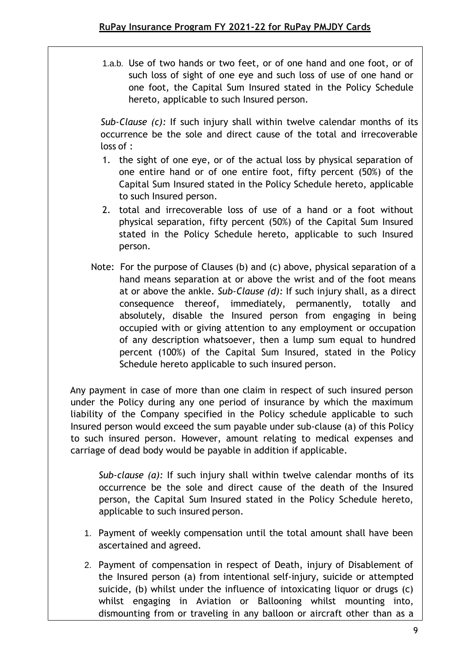1.a.b. Use of two hands or two feet, or of one hand and one foot, or of such loss of sight of one eye and such loss of use of one hand or one foot, the Capital Sum Insured stated in the Policy Schedule hereto, applicable to such Insured person.

*Sub-Clause (c):* If such injury shall within twelve calendar months of its occurrence be the sole and direct cause of the total and irrecoverable loss of :

- 1. the sight of one eye, or of the actual loss by physical separation of one entire hand or of one entire foot, fifty percent (50%) of the Capital Sum Insured stated in the Policy Schedule hereto, applicable to such Insured person.
- 2. total and irrecoverable loss of use of a hand or a foot without physical separation, fifty percent (50%) of the Capital Sum Insured stated in the Policy Schedule hereto, applicable to such Insured person.
- Note: For the purpose of Clauses (b) and (c) above, physical separation of a hand means separation at or above the wrist and of the foot means at or above the ankle. *Sub-Clause (d):* If such injury shall, as a direct consequence thereof, immediately, permanently, totally and absolutely, disable the Insured person from engaging in being occupied with or giving attention to any employment or occupation of any description whatsoever, then a lump sum equal to hundred percent (100%) of the Capital Sum Insured, stated in the Policy Schedule hereto applicable to such insured person.

Any payment in case of more than one claim in respect of such insured person under the Policy during any one period of insurance by which the maximum liability of the Company specified in the Policy schedule applicable to such Insured person would exceed the sum payable under sub-clause (a) of this Policy to such insured person. However, amount relating to medical expenses and carriage of dead body would be payable in addition if applicable.

*Sub-clause (a):* If such injury shall within twelve calendar months of its occurrence be the sole and direct cause of the death of the Insured person, the Capital Sum Insured stated in the Policy Schedule hereto, applicable to such insured person.

- 1. Payment of weekly compensation until the total amount shall have been ascertained and agreed.
- 2. Payment of compensation in respect of Death, injury of Disablement of the Insured person (a) from intentional self-injury, suicide or attempted suicide, (b) whilst under the influence of intoxicating liquor or drugs (c) whilst engaging in Aviation or Ballooning whilst mounting into, dismounting from or traveling in any balloon or aircraft other than as a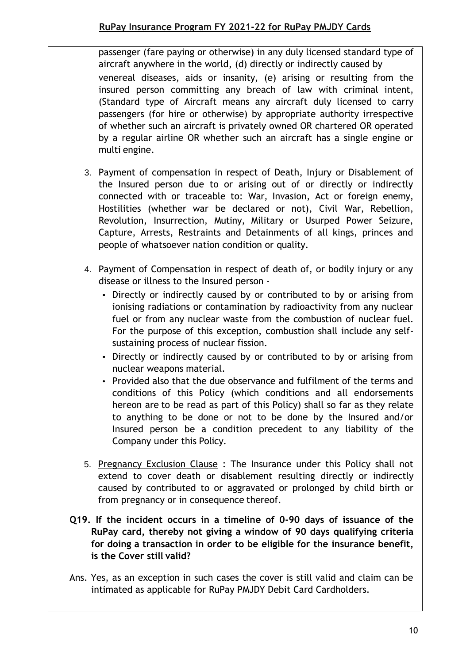passenger (fare paying or otherwise) in any duly licensed standard type of aircraft anywhere in the world, (d) directly or indirectly caused by venereal diseases, aids or insanity, (e) arising or resulting from the insured person committing any breach of law with criminal intent, (Standard type of Aircraft means any aircraft duly licensed to carry passengers (for hire or otherwise) by appropriate authority irrespective of whether such an aircraft is privately owned OR chartered OR operated by a regular airline OR whether such an aircraft has a single engine or multi engine.

- 3. Payment of compensation in respect of Death, Injury or Disablement of the Insured person due to or arising out of or directly or indirectly connected with or traceable to: War, Invasion, Act or foreign enemy, Hostilities (whether war be declared or not), Civil War, Rebellion, Revolution, Insurrection, Mutiny, Military or Usurped Power Seizure, Capture, Arrests, Restraints and Detainments of all kings, princes and people of whatsoever nation condition or quality.
- 4. Payment of Compensation in respect of death of, or bodily injury or any disease or illness to the Insured person -
	- Directly or indirectly caused by or contributed to by or arising from ionising radiations or contamination by radioactivity from any nuclear fuel or from any nuclear waste from the combustion of nuclear fuel. For the purpose of this exception, combustion shall include any selfsustaining process of nuclear fission.
	- Directly or indirectly caused by or contributed to by or arising from nuclear weapons material.
	- Provided also that the due observance and fulfilment of the terms and conditions of this Policy (which conditions and all endorsements hereon are to be read as part of this Policy) shall so far as they relate to anything to be done or not to be done by the Insured and/or Insured person be a condition precedent to any liability of the Company under this Policy.
- 5. Pregnancy Exclusion Clause : The Insurance under this Policy shall not extend to cover death or disablement resulting directly or indirectly caused by contributed to or aggravated or prolonged by child birth or from pregnancy or in consequence thereof.
- **Q19. If the incident occurs in a timeline of 0-90 days of issuance of the RuPay card, thereby not giving a window of 90 days qualifying criteria for doing a transaction in order to be eligible for the insurance benefit, is the Cover still valid?**
- Ans. Yes, as an exception in such cases the cover is still valid and claim can be intimated as applicable for RuPay PMJDY Debit Card Cardholders.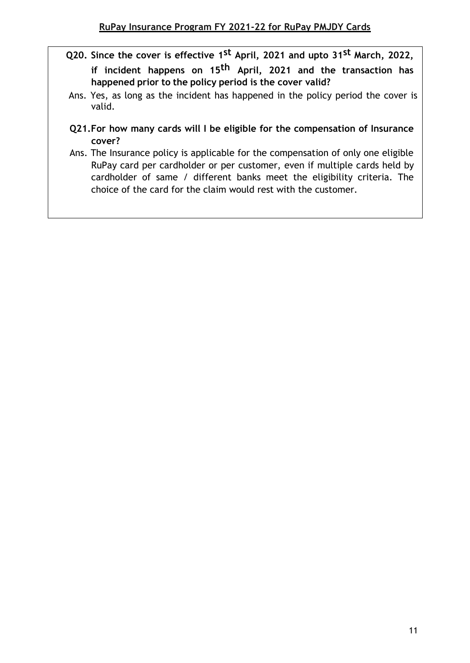- **Q20. Since the cover is effective 1st April, 2021 and upto 31st March, 2022, if incident happens on 15th April, 2021 and the transaction has happened prior to the policy period is the cover valid?**
- Ans. Yes, as long as the incident has happened in the policy period the cover is valid.
- **Q21.For how many cards will I be eligible for the compensation of Insurance cover?**
- Ans. The Insurance policy is applicable for the compensation of only one eligible RuPay card per cardholder or per customer, even if multiple cards held by cardholder of same / different banks meet the eligibility criteria. The choice of the card for the claim would rest with the customer.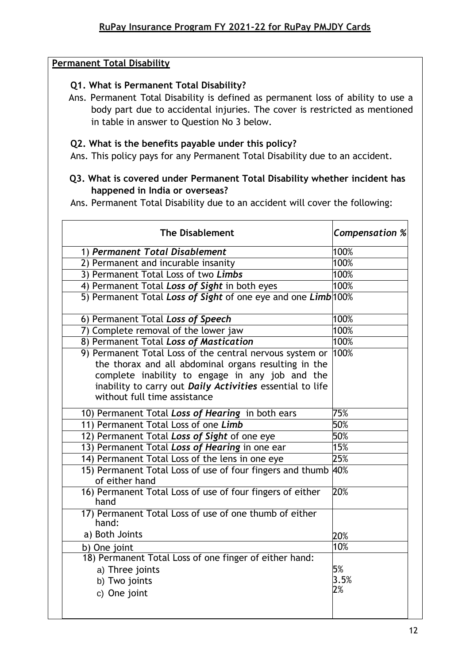#### **Permanent Total Disability**

### **Q1. What is Permanent Total Disability?**

Ans. Permanent Total Disability is defined as permanent loss of ability to use a body part due to accidental injuries. The cover is restricted as mentioned in table in answer to Question No 3 below.

#### **Q2. What is the benefits payable under this policy?**

Ans. This policy pays for any Permanent Total Disability due to an accident.

### **Q3. What is covered under Permanent Total Disability whether incident has happened in India or overseas?**

Ans. Permanent Total Disability due to an accident will cover the following:

| <b>The Disablement</b>                                                                                                                                                                                                                                           | <b>Compensation %</b> |
|------------------------------------------------------------------------------------------------------------------------------------------------------------------------------------------------------------------------------------------------------------------|-----------------------|
| 1) Permanent Total Disablement                                                                                                                                                                                                                                   | 100%                  |
| 2) Permanent and incurable insanity                                                                                                                                                                                                                              | 100%                  |
| 3) Permanent Total Loss of two Limbs                                                                                                                                                                                                                             | 100%                  |
| 4) Permanent Total Loss of Sight in both eyes                                                                                                                                                                                                                    | 100%                  |
| 5) Permanent Total Loss of Sight of one eye and one Limb 100%                                                                                                                                                                                                    |                       |
| 6) Permanent Total Loss of Speech                                                                                                                                                                                                                                | 100%                  |
| 7) Complete removal of the lower jaw                                                                                                                                                                                                                             | 100%                  |
| 8) Permanent Total Loss of Mastication                                                                                                                                                                                                                           | 100%                  |
| 9) Permanent Total Loss of the central nervous system or<br>the thorax and all abdominal organs resulting in the<br>complete inability to engage in any job and the<br>inability to carry out Daily Activities essential to life<br>without full time assistance | 100%                  |
| 10) Permanent Total Loss of Hearing in both ears                                                                                                                                                                                                                 | 75%                   |
| 11) Permanent Total Loss of one Limb                                                                                                                                                                                                                             | 50%                   |
| 12) Permanent Total Loss of Sight of one eye                                                                                                                                                                                                                     | 50%                   |
| 13) Permanent Total Loss of Hearing in one ear                                                                                                                                                                                                                   | 15%                   |
| 14) Permanent Total Loss of the lens in one eye                                                                                                                                                                                                                  | 25%                   |
| 15) Permanent Total Loss of use of four fingers and thumb 40%<br>of either hand                                                                                                                                                                                  |                       |
| 16) Permanent Total Loss of use of four fingers of either<br>hand                                                                                                                                                                                                | 20%                   |
| 17) Permanent Total Loss of use of one thumb of either<br>hand:                                                                                                                                                                                                  |                       |
| a) Both Joints                                                                                                                                                                                                                                                   | 20%                   |
| b) One joint                                                                                                                                                                                                                                                     | 10%                   |
| 18) Permanent Total Loss of one finger of either hand:                                                                                                                                                                                                           |                       |
| a) Three joints                                                                                                                                                                                                                                                  | 5%                    |
| b) Two joints                                                                                                                                                                                                                                                    | 3.5%<br>2%            |
| c) One joint                                                                                                                                                                                                                                                     |                       |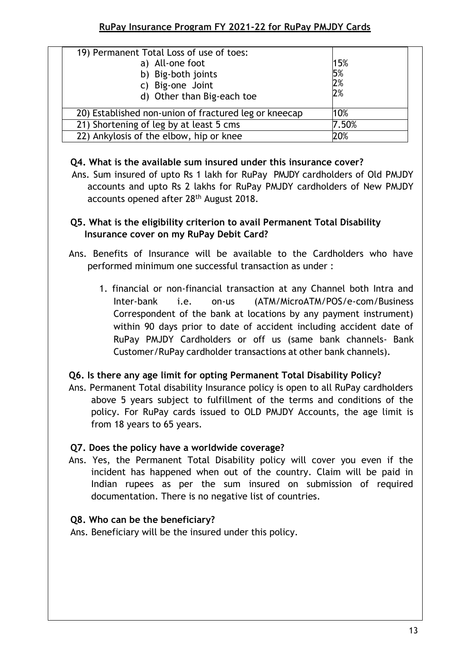| 19) Permanent Total Loss of use of toes:<br>a) All-one foot<br>b) Big-both joints<br>c) Big-one Joint<br>d) Other than Big-each toe | 15%<br>5%<br>2%<br>2% |
|-------------------------------------------------------------------------------------------------------------------------------------|-----------------------|
| 20) Established non-union of fractured leg or kneecap                                                                               | 10%                   |
| 21) Shortening of leg by at least 5 cms                                                                                             | 7.50%                 |
| 22) Ankylosis of the elbow, hip or knee                                                                                             | 20%                   |

### **Q4. What is the available sum insured under this insurance cover?**

accounts and upto Rs 2 lakhs for RuPay PMJDY cardholders of New PMJDY accounts opened after 28<sup>th</sup> August 2018. Ans. Sum insured of upto Rs 1 lakh for RuPay PMJDY cardholders of Old PMJDY

## Q5. What is the eligibility criterion to avail Permanent Total Disability **Insurance cover on my RuPay Debit Card?**

- Ans. Benefits of Insurance will be available to the Cardholders who have performed minimum one successful transaction as under :
	- 1. financial or non-financial transaction at any Channel both Intra and Inter-bank i.e. on-us (ATM/MicroATM/POS/e-com/Business Correspondent of the bank at locations by any payment instrument) within 90 days prior to date of accident including accident date of RuPay PMJDY Cardholders or off us (same bank channels- Bank Customer/RuPay cardholder transactions at other bank channels).

# **Q6. Is there any age limit for opting Permanent Total Disability Policy?**

Ans. Permanent Total disability Insurance policy is open to all RuPay cardholders above 5 years subject to fulfillment of the terms and conditions of the policy. For RuPay cards issued to OLD PMJDY Accounts, the age limit is from 18 years to 65 years.

### **Q7. Does the policy have a worldwide coverage?**

Ans. Yes, the Permanent Total Disability policy will cover you even if the incident has happened when out of the country. Claim will be paid in Indian rupees as per the sum insured on submission of required documentation. There is no negative list of countries.

# **Q8. Who can be the beneficiary?**

Ans. Beneficiary will be the insured under this policy.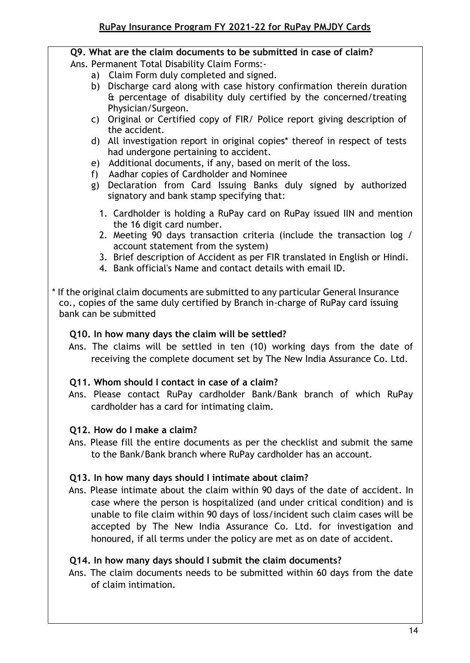# **Q9. What are the claim documents to be submitted in case of claim?**

Ans. Permanent Total Disability Claim Forms:-

- a) Claim Form duly completed and signed.
- b) Discharge card along with case history confirmation therein duration & percentage of disability duly certified by the concerned/treating Physician/Surgeon.
- c) Original or Certified copy of FIR/ Police report giving description of the accident.
- d) All investigation report in original copies\* thereof in respect of tests had undergone pertaining to accident.
- e) Additional documents, if any, based on merit of the loss.
- f) Aadhar copies of Cardholder and Nominee
- g) Declaration from Card Issuing Banks duly signed by authorized signatory and bank stamp specifying that:
	- 1. Cardholder is holding a RuPay card on RuPay issued IIN and mention the 16 digit card number.
	- 2. Meeting 90 days transaction criteria (include the transaction log / account statement from the system)
	- 3. Brief description of Accident as per FIR translated in English or Hindi.
	- 4. Bank official's Name and contact details with email ID.
- \* If the original claim documents are submitted to any particular General Insurance co., copies of the same duly certified by Branch in-charge of RuPay card issuing bank can be submitted

### **Q10. In how many days the claim will be settled?**

Ans. The claims will be settled in ten (10) working days from the date of receiving the complete document set by The New India Assurance Co. Ltd.

# **Q11. Whom should I contact in case of a claim?**

Ans. Please contact RuPay cardholder Bank/Bank branch of which RuPay cardholder has a card for intimating claim.

# **Q12. How do I make a claim?**

Ans. Please fill the entire documents as per the checklist and submit the same to the Bank/Bank branch where RuPay cardholder has an account.

### **Q13. In how many days should I intimate about claim?**

Ans. Please intimate about the claim within 90 days of the date of accident. In case where the person is hospitalized (and under critical condition) and is unable to file claim within 90 days of loss/incident such claim cases will be accepted by The New India Assurance Co. Ltd. for investigation and honoured, if all terms under the policy are met as on date of accident.

### **Q14. In how many days should I submit the claim documents?**

Ans. The claim documents needs to be submitted within 60 days from the date of claim intimation.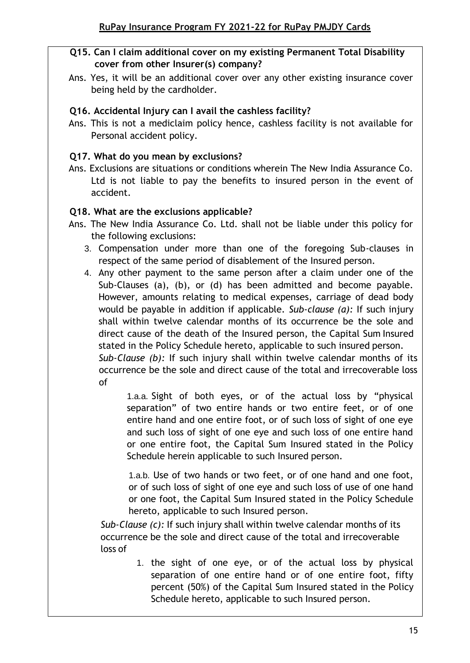## **Q15. Can I claim additional cover on my existing Permanent Total Disability cover from other Insurer(s) company?**

Ans. Yes, it will be an additional cover over any other existing insurance cover being held by the cardholder.

## **Q16. Accidental Injury can I avail the cashless facility?**

Ans. This is not a mediclaim policy hence, cashless facility is not available for Personal accident policy.

### **Q17. What do you mean by exclusions?**

Ans. Exclusions are situations or conditions wherein The New India Assurance Co. Ltd is not liable to pay the benefits to insured person in the event of accident.

### **Q18. What are the exclusions applicable?**

- Ans. The New India Assurance Co. Ltd. shall not be liable under this policy for the following exclusions:
	- 3. Compensation under more than one of the foregoing Sub-clauses in respect of the same period of disablement of the Insured person.
	- 4. Any other payment to the same person after a claim under one of the Sub-Clauses (a), (b), or (d) has been admitted and become payable. However, amounts relating to medical expenses, carriage of dead body would be payable in addition if applicable. *Sub-clause (a):* If such injury shall within twelve calendar months of its occurrence be the sole and direct cause of the death of the Insured person, the Capital Sum Insured stated in the Policy Schedule hereto, applicable to such insured person. *Sub-Clause (b):* If such injury shall within twelve calendar months of its occurrence be the sole and direct cause of the total and irrecoverable loss of

1.a.a. Sight of both eyes, or of the actual loss by "physical separation" of two entire hands or two entire feet, or of one entire hand and one entire foot, or of such loss of sight of one eye and such loss of sight of one eye and such loss of one entire hand or one entire foot, the Capital Sum Insured stated in the Policy Schedule herein applicable to such Insured person.

1.a.b. Use of two hands or two feet, or of one hand and one foot, or of such loss of sight of one eye and such loss of use of one hand or one foot, the Capital Sum Insured stated in the Policy Schedule hereto, applicable to such Insured person.

*Sub-Clause (c):* If such injury shall within twelve calendar months of its occurrence be the sole and direct cause of the total and irrecoverable loss of

> 1. the sight of one eye, or of the actual loss by physical separation of one entire hand or of one entire foot, fifty percent (50%) of the Capital Sum Insured stated in the Policy Schedule hereto, applicable to such Insured person.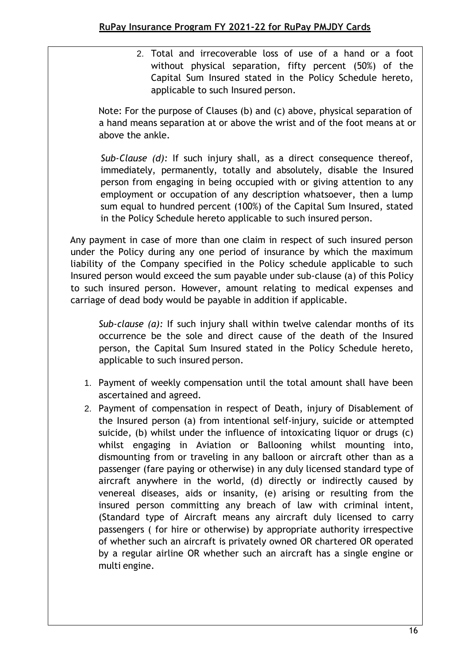2. Total and irrecoverable loss of use of a hand or a foot without physical separation, fifty percent (50%) of the Capital Sum Insured stated in the Policy Schedule hereto, applicable to such Insured person.

Note: For the purpose of Clauses (b) and (c) above, physical separation of a hand means separation at or above the wrist and of the foot means at or above the ankle.

*Sub-Clause (d):* If such injury shall, as a direct consequence thereof, immediately, permanently, totally and absolutely, disable the Insured person from engaging in being occupied with or giving attention to any employment or occupation of any description whatsoever, then a lump sum equal to hundred percent (100%) of the Capital Sum Insured, stated in the Policy Schedule hereto applicable to such insured person.

Any payment in case of more than one claim in respect of such insured person under the Policy during any one period of insurance by which the maximum liability of the Company specified in the Policy schedule applicable to such Insured person would exceed the sum payable under sub-clause (a) of this Policy to such insured person. However, amount relating to medical expenses and carriage of dead body would be payable in addition if applicable.

*Sub-clause (a):* If such injury shall within twelve calendar months of its occurrence be the sole and direct cause of the death of the Insured person, the Capital Sum Insured stated in the Policy Schedule hereto, applicable to such insured person.

- 1. Payment of weekly compensation until the total amount shall have been ascertained and agreed.
- 2. Payment of compensation in respect of Death, injury of Disablement of the Insured person (a) from intentional self-injury, suicide or attempted suicide, (b) whilst under the influence of intoxicating liquor or drugs (c) whilst engaging in Aviation or Ballooning whilst mounting into, dismounting from or traveling in any balloon or aircraft other than as a passenger (fare paying or otherwise) in any duly licensed standard type of aircraft anywhere in the world, (d) directly or indirectly caused by venereal diseases, aids or insanity, (e) arising or resulting from the insured person committing any breach of law with criminal intent, (Standard type of Aircraft means any aircraft duly licensed to carry passengers ( for hire or otherwise) by appropriate authority irrespective of whether such an aircraft is privately owned OR chartered OR operated by a regular airline OR whether such an aircraft has a single engine or multi engine.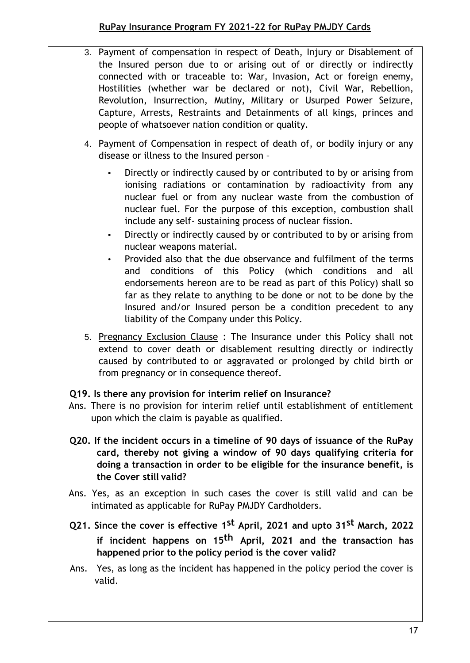- 3. Payment of compensation in respect of Death, Injury or Disablement of the Insured person due to or arising out of or directly or indirectly connected with or traceable to: War, Invasion, Act or foreign enemy, Hostilities (whether war be declared or not), Civil War, Rebellion, Revolution, Insurrection, Mutiny, Military or Usurped Power Seizure, Capture, Arrests, Restraints and Detainments of all kings, princes and people of whatsoever nation condition or quality.
	- 4. Payment of Compensation in respect of death of, or bodily injury or any disease or illness to the Insured person –
		- Directly or indirectly caused by or contributed to by or arising from ionising radiations or contamination by radioactivity from any nuclear fuel or from any nuclear waste from the combustion of nuclear fuel. For the purpose of this exception, combustion shall include any self- sustaining process of nuclear fission.
		- Directly or indirectly caused by or contributed to by or arising from nuclear weapons material.
		- Provided also that the due observance and fulfilment of the terms and conditions of this Policy (which conditions and all endorsements hereon are to be read as part of this Policy) shall so far as they relate to anything to be done or not to be done by the Insured and/or Insured person be a condition precedent to any liability of the Company under this Policy.
- 5. Pregnancy Exclusion Clause : The Insurance under this Policy shall not extend to cover death or disablement resulting directly or indirectly caused by contributed to or aggravated or prolonged by child birth or from pregnancy or in consequence thereof.

### **Q19. Is there any provision for interim relief on Insurance?**

- Ans. There is no provision for interim relief until establishment of entitlement upon which the claim is payable as qualified.
- **Q20. If the incident occurs in a timeline of 90 days of issuance of the RuPay card, thereby not giving a window of 90 days qualifying criteria for doing a transaction in order to be eligible for the insurance benefit, is the Cover still valid?**
- Ans. Yes, as an exception in such cases the cover is still valid and can be intimated as applicable for RuPay PMJDY Cardholders.
- **Q21. Since the cover is effective 1st April, 2021 and upto 31st March, 2022 if incident happens on 15th April, 2021 and the transaction has happened prior to the policy period is the cover valid?**
- Ans. Yes, as long as the incident has happened in the policy period the cover is valid.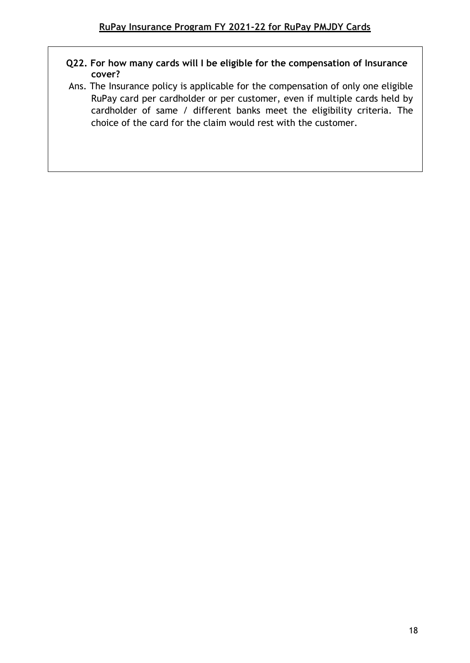### **Q22. For how many cards will I be eligible for the compensation of Insurance cover?**

Ans. The Insurance policy is applicable for the compensation of only one eligible RuPay card per cardholder or per customer, even if multiple cards held by cardholder of same / different banks meet the eligibility criteria. The choice of the card for the claim would rest with the customer.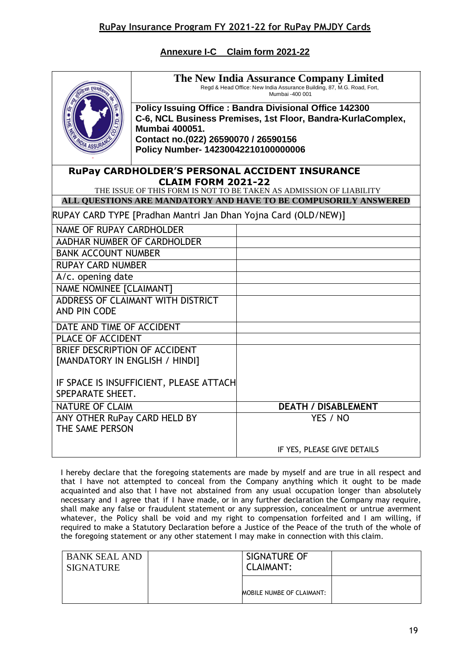**Annexure I-C Claim form 2021-22**

|                                                             | The New India Assurance Company Limited<br>Regd & Head Office: New India Assurance Building, 87, M.G. Road, Fort,<br>Mumbai -400 001<br>Policy Issuing Office: Bandra Divisional Office 142300<br>C-6, NCL Business Premises, 1st Floor, Bandra-KurlaComplex,<br><b>Mumbai 400051.</b><br>Contact no.(022) 26590070 / 26590156<br>Policy Number- 14230042210100000006 |                                                                                                                                                                                                 |  |
|-------------------------------------------------------------|-----------------------------------------------------------------------------------------------------------------------------------------------------------------------------------------------------------------------------------------------------------------------------------------------------------------------------------------------------------------------|-------------------------------------------------------------------------------------------------------------------------------------------------------------------------------------------------|--|
|                                                             | <b>CLAIM FORM 2021-22</b>                                                                                                                                                                                                                                                                                                                                             | <b>RUPAY CARDHOLDER'S PERSONAL ACCIDENT INSURANCE</b><br>THE ISSUE OF THIS FORM IS NOT TO BE TAKEN AS ADMISSION OF LIABILITY<br>ALL QUESTIONS ARE MANDATORY AND HAVE TO BE COMPUSORILY ANSWERED |  |
|                                                             |                                                                                                                                                                                                                                                                                                                                                                       | RUPAY CARD TYPE [Pradhan Mantri Jan Dhan Yojna Card (OLD/NEW)]                                                                                                                                  |  |
| <b>NAME OF RUPAY CARDHOLDER</b>                             |                                                                                                                                                                                                                                                                                                                                                                       |                                                                                                                                                                                                 |  |
| AADHAR NUMBER OF CARDHOLDER                                 |                                                                                                                                                                                                                                                                                                                                                                       |                                                                                                                                                                                                 |  |
| <b>BANK ACCOUNT NUMBER</b>                                  |                                                                                                                                                                                                                                                                                                                                                                       |                                                                                                                                                                                                 |  |
| <b>RUPAY CARD NUMBER</b>                                    |                                                                                                                                                                                                                                                                                                                                                                       |                                                                                                                                                                                                 |  |
| A/c. opening date                                           |                                                                                                                                                                                                                                                                                                                                                                       |                                                                                                                                                                                                 |  |
| NAME NOMINEE [CLAIMANT]                                     |                                                                                                                                                                                                                                                                                                                                                                       |                                                                                                                                                                                                 |  |
| ADDRESS OF CLAIMANT WITH DISTRICT<br>AND PIN CODE           |                                                                                                                                                                                                                                                                                                                                                                       |                                                                                                                                                                                                 |  |
| DATE AND TIME OF ACCIDENT                                   |                                                                                                                                                                                                                                                                                                                                                                       |                                                                                                                                                                                                 |  |
| PLACE OF ACCIDENT                                           |                                                                                                                                                                                                                                                                                                                                                                       |                                                                                                                                                                                                 |  |
| BRIEF DESCRIPTION OF ACCIDENT                               |                                                                                                                                                                                                                                                                                                                                                                       |                                                                                                                                                                                                 |  |
| [MANDATORY IN ENGLISH / HINDI]                              |                                                                                                                                                                                                                                                                                                                                                                       |                                                                                                                                                                                                 |  |
| IF SPACE IS INSUFFICIENT, PLEASE ATTACH<br>SPEPARATE SHEET. |                                                                                                                                                                                                                                                                                                                                                                       |                                                                                                                                                                                                 |  |
| <b>NATURE OF CLAIM</b>                                      |                                                                                                                                                                                                                                                                                                                                                                       | <b>DEATH / DISABLEMENT</b>                                                                                                                                                                      |  |
| ANY OTHER RuPay CARD HELD BY<br>THE SAME PERSON             |                                                                                                                                                                                                                                                                                                                                                                       | YES / NO                                                                                                                                                                                        |  |
|                                                             |                                                                                                                                                                                                                                                                                                                                                                       | IF YES, PLEASE GIVE DETAILS                                                                                                                                                                     |  |

I hereby declare that the foregoing statements are made by myself and are true in all respect and that I have not attempted to conceal from the Company anything which it ought to be made acquainted and also that I have not abstained from any usual occupation longer than absolutely necessary and I agree that if I have made, or in any further declaration the Company may require, shall make any false or fraudulent statement or any suppression, concealment or untrue averment whatever, the Policy shall be void and my right to compensation forfeited and I am willing, if required to make a Statutory Declaration before a Justice of the Peace of the truth of the whole of the foregoing statement or any other statement I may make in connection with this claim.

| <b>BANK SEAL AND</b> | SIGNATURE OF              |
|----------------------|---------------------------|
| <b>SIGNATURE</b>     | <b>CLAIMANT:</b>          |
|                      | MOBILE NUMBE OF CLAIMANT: |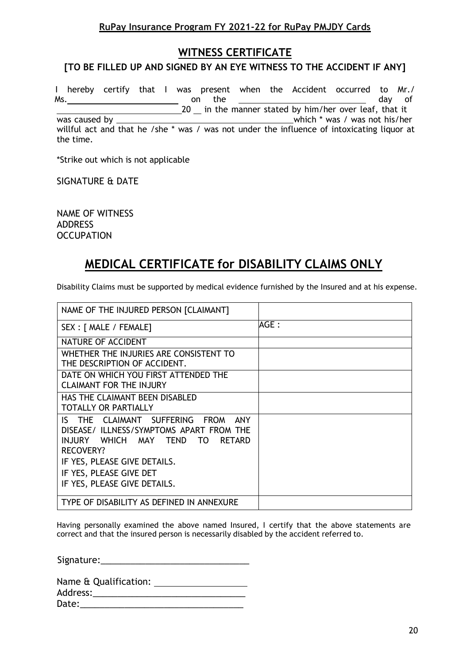### **RuPay Insurance Program FY 2021-22 for RuPay PMJDY Cards**

### **WITNESS CERTIFICATE**

#### **[TO BE FILLED UP AND SIGNED BY AN EYE WITNESS TO THE ACCIDENT IF ANY]**

I hereby certify that I was present when the Accident occurred to Mr./ Ms. the contract of the contract of the contract of the contract of the day of the contract of the day of the contract of the contract of the contract of the contract of the contract of the contract of the contract of the \_20 \_\_ in the manner stated by him/her over leaf, that it

was caused by which \* was / was not his/her

willful act and that he /she \* was / was not under the influence of intoxicating liquor at the time.

\*Strike out which is not applicable

SIGNATURE & DATE

NAME OF WITNESS ADDRESS **OCCUPATION** 

# **MEDICAL CERTIFICATE for DISABILITY CLAIMS ONLY**

Disability Claims must be supported by medical evidence furnished by the Insured and at his expense.

| NAME OF THE INJURED PERSON [CLAIMANT]                                                                                                                            |       |
|------------------------------------------------------------------------------------------------------------------------------------------------------------------|-------|
| SEX : [ MALE / FEMALE]                                                                                                                                           | AGE : |
| NATURE OF ACCIDENT                                                                                                                                               |       |
| WHETHER THE INJURIES ARE CONSISTENT TO<br>THE DESCRIPTION OF ACCIDENT.                                                                                           |       |
| DATE ON WHICH YOU FIRST ATTENDED THE<br><b>CLAIMANT FOR THE INJURY</b>                                                                                           |       |
| HAS THE CLAIMANT BEEN DISABLED<br><b>TOTALLY OR PARTIALLY</b>                                                                                                    |       |
| IS THE CLAIMANT SUFFERING<br><b>FROM</b><br>ANY<br>DISEASE/ ILLNESS/SYMPTOMS APART FROM THE<br>INJURY WHICH MAY TEND<br><b>RETARD</b><br>TO.<br><b>RECOVERY?</b> |       |
| IF YES, PLEASE GIVE DETAILS.                                                                                                                                     |       |
| IF YES, PLEASE GIVE DET                                                                                                                                          |       |
| IF YES, PLEASE GIVE DETAILS.                                                                                                                                     |       |
| TYPE OF DISABILITY AS DEFINED IN ANNEXURE                                                                                                                        |       |

Having personally examined the above named Insured, I certify that the above statements are correct and that the insured person is necessarily disabled by the accident referred to.

Signature:\_\_\_\_\_\_\_\_\_\_\_\_\_\_\_\_\_\_\_\_\_\_\_\_\_\_\_\_\_\_

| Name & Qualification: |  |
|-----------------------|--|
| Address:              |  |
| Date:                 |  |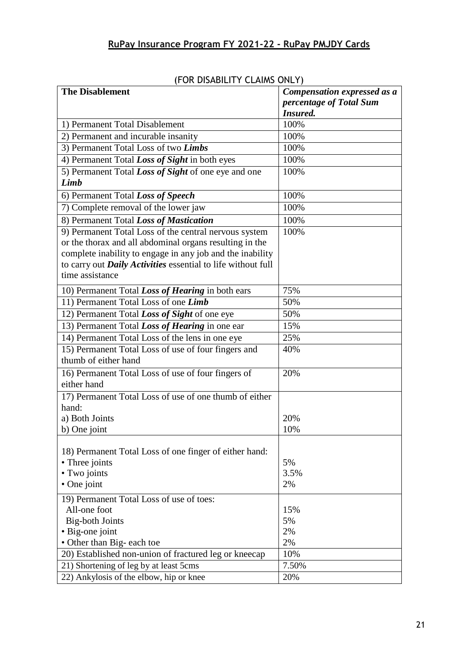| (FUK DISABILITY CLAIMS UNLY)                                        |                             |
|---------------------------------------------------------------------|-----------------------------|
| <b>The Disablement</b>                                              | Compensation expressed as a |
|                                                                     | percentage of Total Sum     |
|                                                                     | <b>Insured.</b>             |
| 1) Permanent Total Disablement                                      | 100%                        |
| 2) Permanent and incurable insanity                                 | 100%                        |
| 3) Permanent Total Loss of two Limbs                                | 100%                        |
| 4) Permanent Total Loss of Sight in both eyes                       | 100%                        |
| 5) Permanent Total Loss of Sight of one eye and one                 | 100%                        |
| <b>Limb</b>                                                         |                             |
| 6) Permanent Total Loss of Speech                                   | 100%                        |
| 7) Complete removal of the lower jaw                                | 100%                        |
| 8) Permanent Total Loss of Mastication                              | 100%                        |
| 9) Permanent Total Loss of the central nervous system               | 100%                        |
| or the thorax and all abdominal organs resulting in the             |                             |
| complete inability to engage in any job and the inability           |                             |
| to carry out <b>Daily Activities</b> essential to life without full |                             |
| time assistance                                                     |                             |
| 10) Permanent Total Loss of Hearing in both ears                    | 75%                         |
| 11) Permanent Total Loss of one Limb                                | 50%                         |
|                                                                     |                             |
| 12) Permanent Total Loss of Sight of one eye                        | 50%                         |
| 13) Permanent Total Loss of Hearing in one ear                      | 15%                         |
| 14) Permanent Total Loss of the lens in one eye                     | 25%                         |
| 15) Permanent Total Loss of use of four fingers and                 | 40%                         |
| thumb of either hand                                                |                             |
| 16) Permanent Total Loss of use of four fingers of                  | 20%                         |
| either hand                                                         |                             |
| 17) Permanent Total Loss of use of one thumb of either              |                             |
| hand:                                                               |                             |
| a) Both Joints                                                      | 20%                         |
| b) One joint                                                        | 10%                         |
|                                                                     |                             |
| 18) Permanent Total Loss of one finger of either hand:              |                             |
| • Three joints                                                      | 5%                          |
| • Two joints                                                        | 3.5%                        |
| • One joint                                                         | 2%                          |
| 19) Permanent Total Loss of use of toes:                            |                             |
| All-one foot                                                        | 15%                         |
| <b>Big-both Joints</b>                                              | 5%                          |
| • Big-one joint                                                     | 2%                          |
| • Other than Big- each toe                                          | 2%                          |
| 20) Established non-union of fractured leg or kneecap               | 10%                         |
| 21) Shortening of leg by at least 5cms                              | 7.50%                       |
| 22) Ankylosis of the elbow, hip or knee                             | 20%                         |

## (FOR DISABILITY CLAIMS ONLY)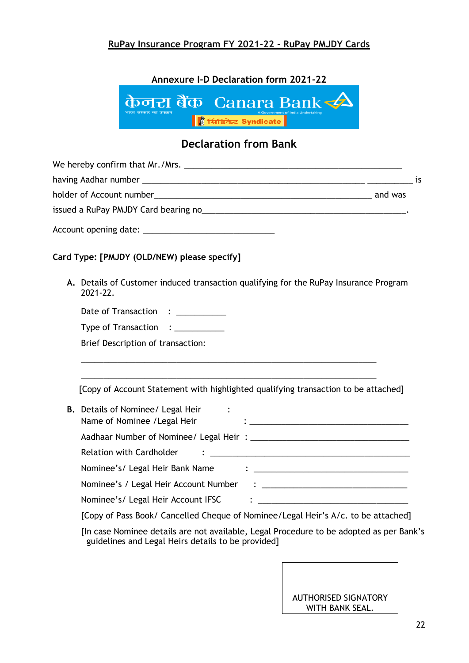### **RuPay Insurance Program FY 2021-22 - RuPay PMJDY Cards**

**Annexure I-D Declaration form 2021-22**



# **Declaration from Bank**

|                                                                                                                                                                                                                                |         | is |
|--------------------------------------------------------------------------------------------------------------------------------------------------------------------------------------------------------------------------------|---------|----|
|                                                                                                                                                                                                                                | and was |    |
| issued a RuPay PMJDY Card bearing no the state of the state of the state of the state of the state of the state of the state of the state of the state of the state of the state of the state of the state of the state of the |         |    |
|                                                                                                                                                                                                                                |         |    |

#### **Card Type: [PMJDY (OLD/NEW) please specify]**

**A.** Details of Customer induced transaction qualifying for the RuPay Insurance Program 2021-22.

| Date of Transaction |  |
|---------------------|--|
|---------------------|--|

| Type of Transaction |  |
|---------------------|--|
|---------------------|--|

Brief Description of transaction:

[Copy of Account Statement with highlighted qualifying transaction to be attached]

\_\_\_\_\_\_\_\_\_\_\_\_\_\_\_\_\_\_\_\_\_\_\_\_\_\_\_\_\_\_\_\_\_\_\_\_\_\_\_\_\_\_\_\_\_\_\_\_\_\_\_\_\_\_\_\_\_\_\_\_\_\_\_\_\_ \_\_\_\_\_\_\_\_\_\_\_\_\_\_\_\_\_\_\_\_\_\_\_\_\_\_\_\_\_\_\_\_\_\_\_\_\_\_\_\_\_\_\_\_\_\_\_\_\_\_\_\_\_\_\_\_\_\_\_\_\_\_\_\_\_

| <b>B.</b> Details of Nominee/ Legal Heir<br>Name of Nominee / Legal Heir                                                                                                                                                                                                                                                           | $\bullet$ . The contract of the contract of the contract of the contract of the contract of the contract of the contract of the contract of the contract of the contract of the contract of the contract of the contract of the co    |
|------------------------------------------------------------------------------------------------------------------------------------------------------------------------------------------------------------------------------------------------------------------------------------------------------------------------------------|---------------------------------------------------------------------------------------------------------------------------------------------------------------------------------------------------------------------------------------|
|                                                                                                                                                                                                                                                                                                                                    |                                                                                                                                                                                                                                       |
| Relation with Cardholder                                                                                                                                                                                                                                                                                                           |                                                                                                                                                                                                                                       |
| Nominee's/ Legal Heir Bank Name                                                                                                                                                                                                                                                                                                    | $\ddot{\bullet}$ . The contract of the contract of the contract of the contract of the contract of the contract of the contract of the contract of the contract of the contract of the contract of the contract of the contract of th |
| Nominee's / Legal Heir Account Number                                                                                                                                                                                                                                                                                              | $\ddot{\bullet}$ . The contract of the contract of the contract of the contract of the contract of the contract of the contract of the contract of the contract of the contract of the contract of the contract of the contract of th |
| Nominee's/ Legal Heir Account IFSC                                                                                                                                                                                                                                                                                                 | $\ddot{\cdot}$ , and the contract of the contract of the contract of the contract of the contract of the contract of the contract of the contract of the contract of the contract of the contract of the contract of the contract o   |
| $\mathbf{r}$ $\mathbf{r}$ $\mathbf{r}$ $\mathbf{r}$ $\mathbf{r}$ $\mathbf{r}$ $\mathbf{r}$ $\mathbf{r}$ $\mathbf{r}$ $\mathbf{r}$ $\mathbf{r}$ $\mathbf{r}$ $\mathbf{r}$ $\mathbf{r}$ $\mathbf{r}$ $\mathbf{r}$ $\mathbf{r}$ $\mathbf{r}$ $\mathbf{r}$ $\mathbf{r}$ $\mathbf{r}$ $\mathbf{r}$ $\mathbf{r}$ $\mathbf{r}$ $\mathbf{$ |                                                                                                                                                                                                                                       |

[Copy of Pass Book/ Cancelled Cheque of Nominee/Legal Heir's A/c. to be attached]

[In case Nominee details are not available, Legal Procedure to be adopted as per Bank's guidelines and Legal Heirs details to be provided]

### AUTHORISED SIGNATORY WITH BANK SEAL.